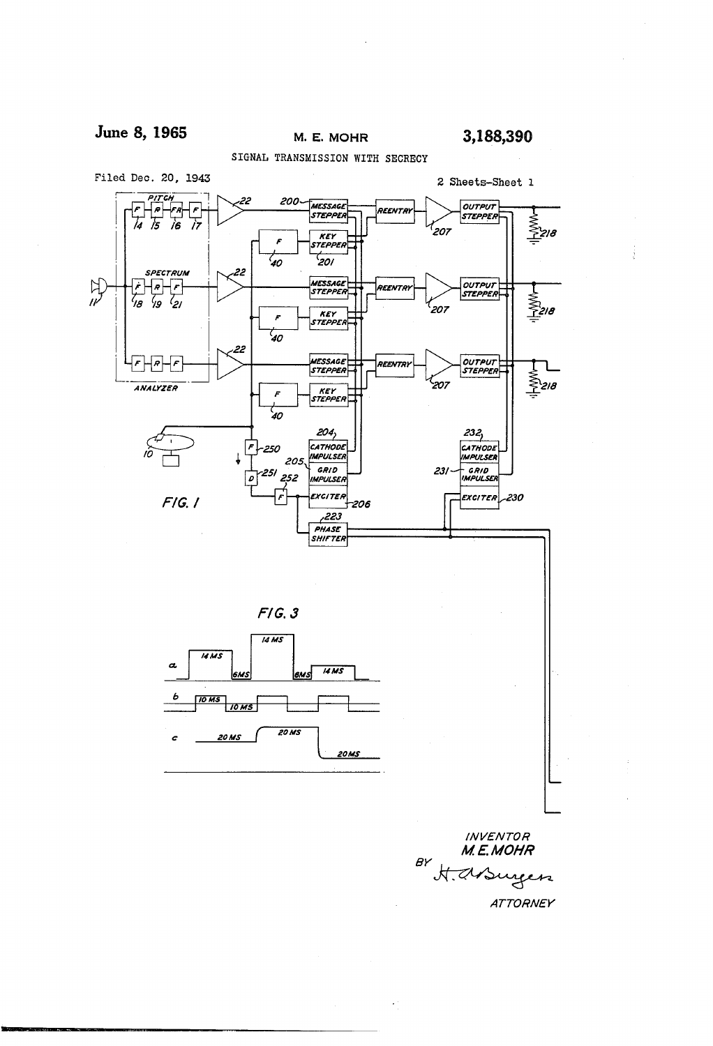M. E. MOHR

SIGNAL TRANSMISSION WITH SECRECY



**ATTORNEY**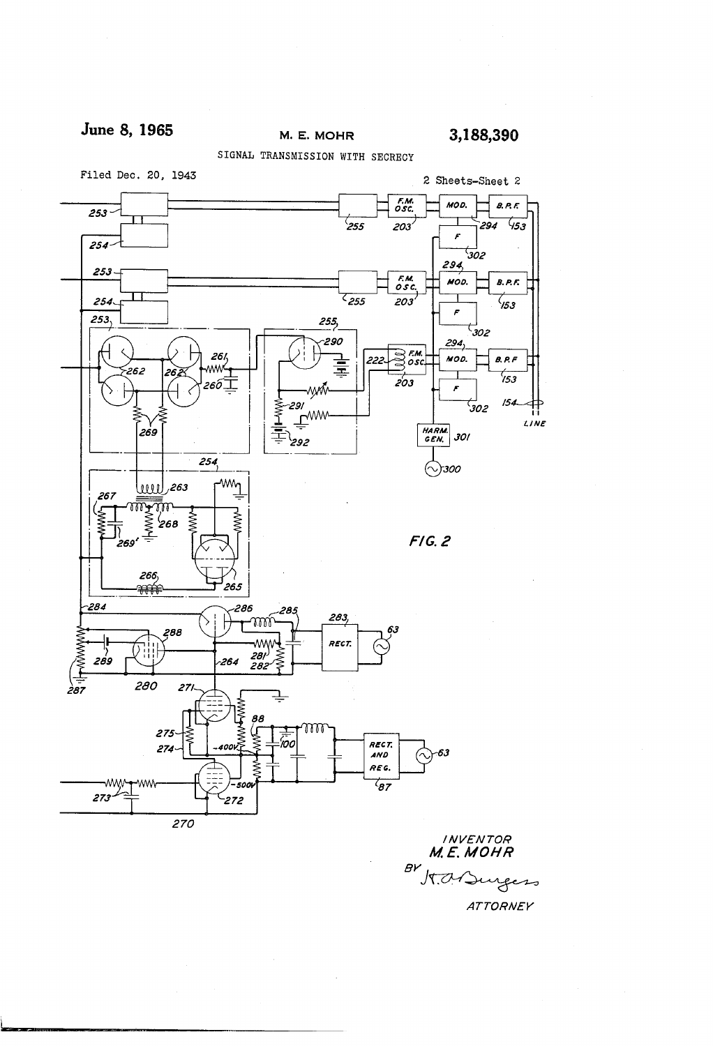## June 8, 1965 M. E. MOHR 3,188,390

SIGNAL TRANSMISSION WITH SECRECY



**INVENTOR** M.E. MOHR  $BV$  $M$ . O. Su reco

**ATTORNEY**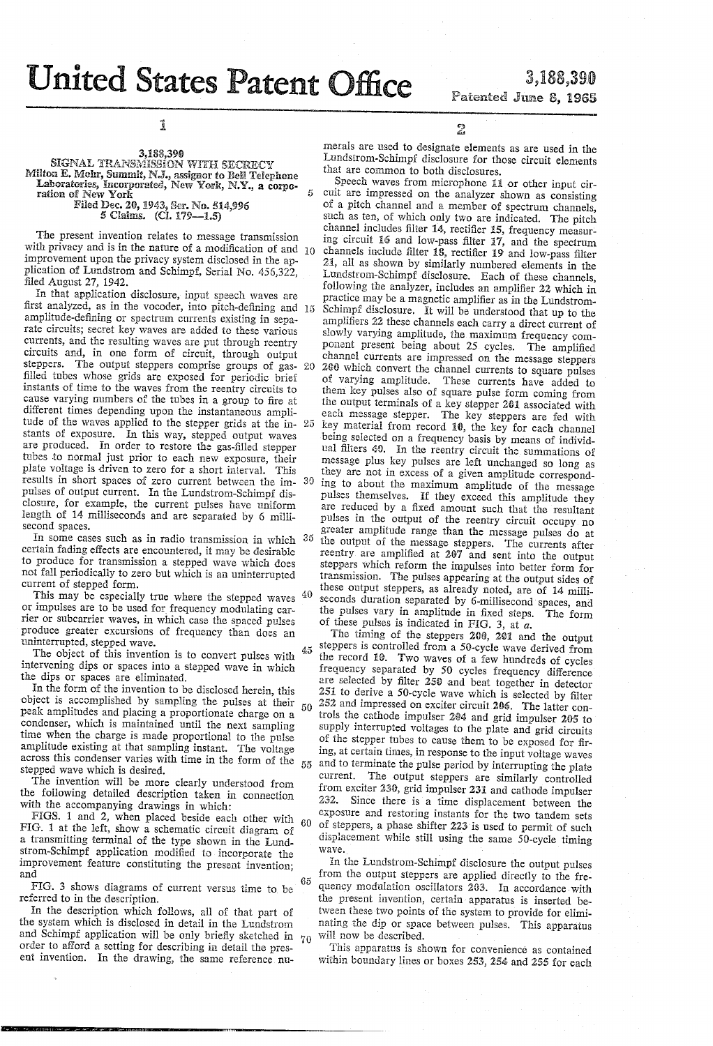## **United States Patent Office**

Ul

## **3,188,390** Patented June 8, 1965

 $\vec{1}$ 

3,188,390<br>SIGNAL TRANSMISSION WITH SECRECY Milton E. Mohr, Summit, N.J., assignor to Bell Telephone Laboratories, incorporated, New York, N.Y., a corporation of New York Fiied Dec. 20, 1%3, Ser. No. 514596

5 Ciaims. {CL 179-1.5)

The present invention relates to message transmission with privacy and is in the nature of a modification of and  $10$ improvement upon the privacy system disclosed in the ap plication of Lundstrom and Schimpf, Serial No. 456,322, filed August 27, 1942.<br>In that application disclosure, input speech waves are

first analyzed, as in the vocoder, into pitch-defining and 15 amplitude-defining or spectrum currents existing in sepa~ rate circuits; secret key waves are added to these various currents, and the resulting waves are put through reentry circuits and, in one form of circuit, through output steppers. The output steppers comprise groups of gas- 20 filled tubes whose grids are exposed for periodic brief instants of time to the Waves from the reentry circuits to cause varying numbers of the tubes in a group to fire at different times depending upon the instantaneous ampli tude of the waves applied to the stepper grids at the in- 25 stants of exposure. In this way, stepped output waves are produced. In order to restore the gas-filled stepper tubes to normal just prior to each new exposure, their plate voltage is driven to zero for a short interval. This results in short spaces of zero current between the im pulses of output current. In the Lundstrom-Schimpf dis closure, for example, the current puises have uniform length of 14 milliseconds and are separated by 6 milli second spaces. 30

In some cases such as in radio transmission in which  $35$ certain fading effects are encountered, it may be desirable to produce for transmission a stepped wave which does not fall periodically to zero but which is an uninterrupted current of stepped form.

This may be especially true where the stepped waves or impulses are to be used for frequency modulating carrier or subcarrier waves, in which case the spaced pulses produce greater excursions of frequency than does an uninterrupted, stepped wave.

The object of this invention is to convert pulses with intervening dips or spaces into a stepped wave in which the dips or spaces are eliminated.

In the form of the invention to be disclosed herein, this object is accomplished by sampling the pulses at their peak amplitudes and placing a proportionate charge on a condenser, which is maintained until the next sampling time when the charge is made proportional to the pulse amplitude existing at that sampling instant. The voltage across this condenser varies with time in the form of the stepped wave which is desired.

The invention will be more clearly understood from the following detailed description taken in connection with the accompanying drawings in which:

FIGS. 1 and 2, when placed beside each other with<br>FIG. 1 at the left, show a schematic circuit diagram of a transmitting terminal of the type shown in the Lundstrom-Schimpf application modiñed to incorporate the improvement feature constituting the present invention; and ì 60

FIG. 3 shows diagrams of current versus time to be referred to in the description.

In the description which follows, all ot that part ot the system which is disclosed in detail in the Lundstrom and Schimpf application will be only brietly sketched in  $70$ order to afford a setting for describing in detail the pres ent invention. In the drawing, the same reference nu

E

metals are used to designate elements as are used in the Lundstrom-Schimpf disclosure for those circuit elements that are common to both disclosures.

40 Speech waves from microphone 11 or other input cir cuit are impressed on the analyzer shown as consisting of a pitch channel and a member of spectrum channels, such as ten, of which only two are indicated. The pitch channel includes filter 14, rectifier 15, frequency measuring circuit 16 and low-pass filter 17, and the spectrum channels include filter  $18$ , rectifier 19 and low-pass filter 21, all as shown by similarly numbered elements in the Lundstrom-Schimpf disclosure. Each of these channels, following the analyzer, includes an amplifier 22 which in practice may be a magnetic amplifier as in the Lundstrom-Schimpf disclosure. it will be understood that up to the amplifiers 22 these channels each carry a direct current of slowly varying amplitude, the maximum frequency component present being about 25 cycles. The amplified channel currents are impressed on the message steppers 200 which convert the channel currents to square pulses of varying amplitude. These currents have added to them key pulses also of square pulse iorm coming from the output terminals of a key stepper 201 associated with each message stepper. The key steppers are fed with key material from record 10, the key for each channel being selected on a frequency basis by means of individ ual filters 40. In the reentry circuit the summations of message plus key pulses are left unchanged so long as they are not in excess of a given amplitude correspond ing to about the maximum amplitude of the message pulses themselves. If they exceed this amplitude they are reduced by a fixed amount such that the resultant pulses in the output of the reentry circuit occupy no greater amplitude range than the message pulses do at the output of the message steppers. The currents after reentry are amplified at 287 and sent into the output steppers which reform the impulses into better form for transmission. The pulses appearing at the output sides of these output steppers, as already noted, are of 14 milliseconds duration separated by 6-millisecond spaces, and the pulses vary in amplitude in fixed steps. The form of these pulses is indicated in FIG. 3, at  $a$ .

The timing of the steppers 200, 201 and the output steppers is controlled from a 50-cycle wave derived from  $45$ the record 10. Two waves of a few hundreds of cycles frequency separated by 50 cycles frequency difference are selected by filter 250 and beat together in detector 251 to derive a 50-cycle wave which is selected by filter 2352 and impressed on exciter circuit 206. The latter con trols the cathode impulser 204 and grid impulser 205 to supply interrupted voltages to the plate and grid circuits of the stepper tubes to cause them to be exposed for firing, at certain times, in response to the input voltage waves and to terminate the pulse period by interrupting the plate current. The output steppers are similarly controlled from exciter 23d, grid impulser 231 and cathode impulser 232. Since there is a time displacement between the exposure and restoring instants for the two tandem sets of Steppers, a phase shifter 223'is used to permit of such displacement while still using the same 50-cycle timing wave.

In the Lundstrom-Schimpf disclosure the output pulses from the output steppers are applied directly to the fre- $65$ quency modulation oscillators 203. In accordance with the present invention, certain apparatus is inserted be tween these two points of the system to provide for elimi nating the dip or space between pulses. This apparatus will now be described.

This apparatus is shown for convenience as contained within boundary lines or boxes 253, 254 and 255 for each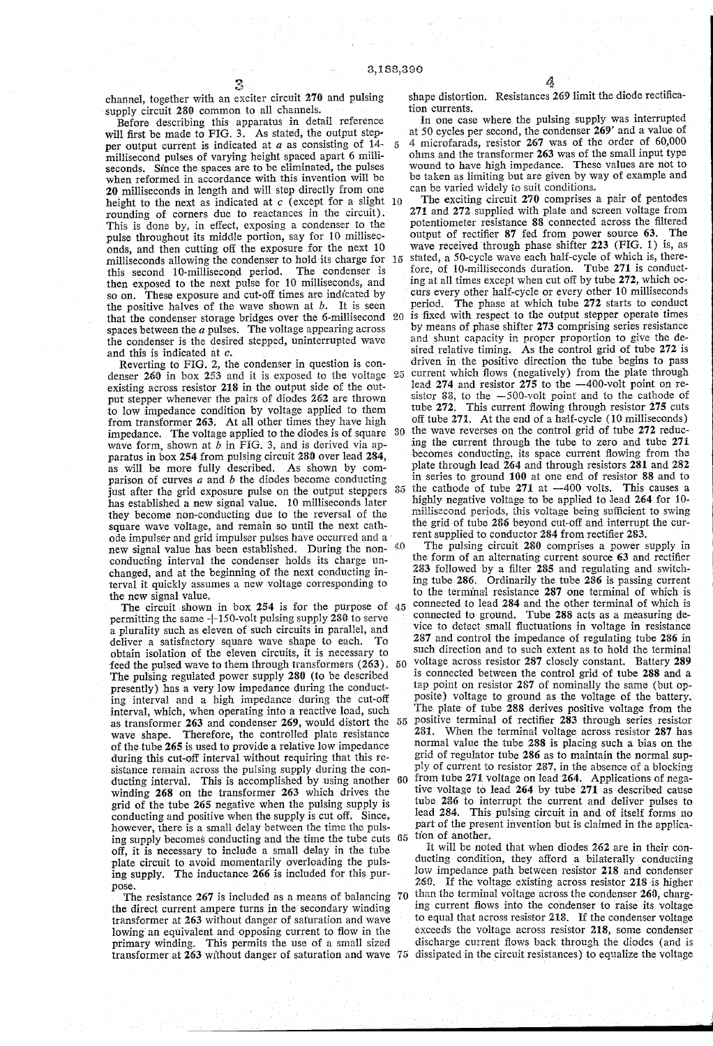$\overline{5}$ 

channel, together with an exciter circuit 270 and pulsing supply circuit 280 common to all channels.

Before describing this apparatus in detail reference will first be made to FIG. 3. As stated, the output stepper output current is indicated at  $a$  as consisting of 14millisecond pulses of varying height spaced apart 6 milli seconds. Since the spaces are to be eliminated, the pulses when reformed in accordance with this invention will be 20 milliseconds in length and will step directly from one height to the next as indicated at  $c$  (except for a slight  $10$ rounding of corners due to reactances in the circuit). This is done by, in effect, exposing a condenser to the pulse throughout its middle portion, say for l0 millisec onds, and then cutting off the exposure for the next 10 milliseconds allowing the condenser to hold its charge for this second 10-millisecond period. The condenser is then exposed to the next pulse for 10 milliseconds, and so on. These exposure and cut-off times are indicated by the positive halves of the wave shown at  $b$ . It is seen the positive halves of the wave shown at *b*. It is seen that the condenser storage bridges over the 6-millisecond 20 spaces between the  $a$  pulses. The voltage appearing across the condenser is the desired stepped, uninterrupted wave

and this is indicated at c.<br>Reverting to FIG. 2, the condenser in question is condenser 260 in box 253 and it is exposed to the voltage 25 existing across resistor 218 in the output side of the out put stepper whenever the pairs of diodes 262 are thrown to low impedance condition by voltage applied to them from transformer 263. At all other times they have high impedance. The voltage applied to the diodes is of square wave form, shown at  $b$  in FIG. 3, and is derived via apparatus in box 254 from pulsing circuit 280 over lead 284, as will be more fully described. As shown by comparison of curves  $a$  and  $b$  the diodes become conducting just after the grid exposure pulse on the output steppers  $35$ has established a new signal value. 10 milliseconds later they become non-conducting due to the reversal of the square wave voltage, and remain so until the next cath ode impulser and grid impulser pulses have occurred and a new signal value has been established. During the non-  $40$ conducting interval the condenser holds its charge un changed, and at the beginning of the next conducting in terval it quickly assumes a new voltage corresponding to the new signal value.

The circuit shown in box 254 is for the purpose of 45 permitting the same  $+150$ -volt pulsing supply 280 to serve a plurality such as eleven of such circuits in parallel, and deliver a satisfactory square wave shape to each. To obtain isolation of the eleven circuits, it is necessary to feed the pulsed wave to them through transformers (263). The pulsing regulated power supply 280 (to be described presently) has a very low impedance during the conduct ing interval and a high impedance during the cut-off interval, which, when operating into a reactive load, such as transformer 263 and condenser 269, would distort the 55 wave shape. Therefore, the controlled plate resistance of the tube 265 is used to provide a relative low impedance during this cut-off interval without requiring that this resistance remain across the pulsing supply during the conducting interval. This is accomplished by using another winding 268 on the transformer 263 which drives the grid of the tube 265 negative when the pulsing supply is conducting and positive when the supply is cut off. Since, however, there is a small delay between the time the puls ing supply becomes conducting and the time the tube cuts off, it is necessary to include a small delay in the tube plate circuit to avoid momentarily overloading the puls ing supply. The inductance 266 is included for this pur pose.

The resistance 267 is included as a means of balancing 70 the direct current ampere turns in the secondary winding<br>transformer at 263 without danger of saturation and wave towing an equivalent and opposing current to flow in the primary winding. This permits the use of a small sized transformer at 263 without danger of saturation and wave 75 dissipated in the circuit resistances) to equalize the voltage

shape distortion. Resistances 269 limit the diode rectifica tion currents.

In one case where the pulsing supply was interrupted at 50 cycles per second, the condenser 269' and a value of 4 microfarads, resistor 267 was of the order of 60,000 ohms and the transformer 263 was of the small input type wound to have high impedance. These values are not to be taken as limiting but are given by way of example and can be varied widely to suit conditions.

30 The exciting circuit 270 comprises a pair of pentodes 271 and 272 supplied with plate and screen voltage from potentiometer resistance 88 connected across the filtered output of rectifier 87 fed from power source 63. The wave received through phase shifter  $223$  (FIG. 1) is, as stated, a 50-cycle wave each half-cycle of which is, therefore, of 10-milliseconds duration. Tube 271 is conducting at all times except when cut off by tube 272, which occurs every other half-cycle or every other 10 milliseconds period. The phase at which tube 272 starts to conduct is fixed with respect to the output stepper operate times by means of phase shifter 273 comprising series resistance and shunt capacity in proper proportion to give the de sired relative timing. As the control grid of tube 272 is driven in the positive direction the tube begins to pass current which flows (negatively) from the plate through lead  $274$  and resistor  $275$  to the  $-400$ -volt point on resistor 88, to the  $-500$ -volt point and to the cathode of tube 272. This current ñowing through resistor 275 cuts off tube 271. At the end of a half-cycle (10 milliseconds) the wave reverses on the control grid of tube 272 reduc ing the current through the tube to zero and tube 271 becomes conducting, its space current tiowing from the plate through lead 264 and through resistors 281 and 282 in series to ground  $100$  at one end of resistor 88 and to the cathode of tube  $271$  at  $-400$  volts. This causes a the cathode of tube  $271$  at  $-400$  volts. highly negative voltage to be applied to lead 264 for l0 millisecond periods, this voltage being sufficient to swing the grid of tube 286 beyond cut-off and interrupt the current supplied to conductor 284 from rectifier 283.

The pulsing circuit 280 comprises a power supply in the form of an alternating current source 63 and rectifier 283 followed by a filter 285 and regulating and switching tube 286. Ordinarily the tube 286 is passing current to the terminal resistance 287 one terminal of which is connected to lead 284 and the other terminal of which is connected to ground. Tube 288 acts as a measuring de-60 from tube 271 voltage on lead 264. Applications of negative voltage to lead 264 by tube 271 as described cause vice to detect small fluctuations in voltage in resistance 287 and control the impedance of regulating tube 286 in such direction and to such extent as to hold the terminal voltage across resistor 287 closely constant. Battery 289 is connected between the control grid of tube 288 and a tap point on resistor 287 of nominally the same (but op posite) voltage to ground as the voltage of the battery. The plate of tube 288 derives positive voltage from the positive terminal of rectifier 283 through series resistor 281. When the terminal voltage across resistor 287 has normal value the tube 288 is placing such a bias on the grid of regulator tube 286 as to maintain the normal sup-l ply of current to resistor 287, in the absence of a blocking from tube 271 voltage on lead 264. Applications of nega tube 286 to interrupt the current and deliver pulses to lead 284. This pulsing circuit in and of itself forms no part of the present invention but is claimed in the application of another.

It will be noted that when diodes 262 are in their con ducting condition, they afford a bilaterally conducting low impedance path between resistor 2ì8 and condenser 269. If the voltage existing across resistor 218'is higher than the terminal voltage across the condenser 260, charging current flows into the condenser to raise its voltage to equal that across resistor 218. If the condenser voltage exceeds the voltage across resistor 218, some condenser discharge current flows back through the diodes (and is